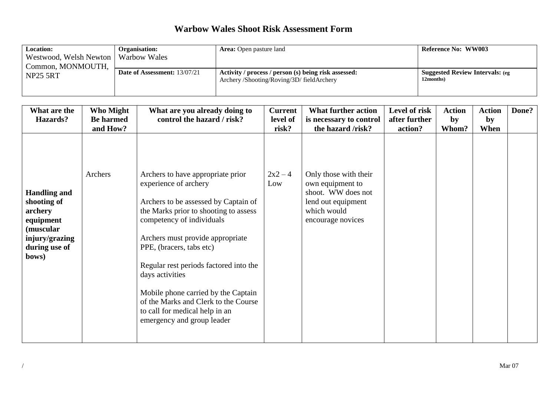| <b>Location:</b><br>Westwood, Welsh Newton   Warbow Wales<br>Common, MONMOUTH, | <b>Organisation:</b>                | <b>Area:</b> Open pasture land                                                                    | <b>Reference No: WW003</b>                           |
|--------------------------------------------------------------------------------|-------------------------------------|---------------------------------------------------------------------------------------------------|------------------------------------------------------|
| <b>NP25 5RT</b>                                                                | <b>Date of Assessment: 13/07/21</b> | Activity / process / person (s) being risk assessed:<br>Archery /Shooting/Roving/3D/ fieldArchery | <b>Suggested Review Intervals: (eg)</b><br>12months) |

| What are the                                                                                                        | Who Might           | What are you already doing to                                                                                                                                                                                                                                                                                                                                                                                                                        | <b>Current</b>             | <b>What further action</b>                                                                                                                     | Level of risk | <b>Action</b> | <b>Action</b> | Done? |
|---------------------------------------------------------------------------------------------------------------------|---------------------|------------------------------------------------------------------------------------------------------------------------------------------------------------------------------------------------------------------------------------------------------------------------------------------------------------------------------------------------------------------------------------------------------------------------------------------------------|----------------------------|------------------------------------------------------------------------------------------------------------------------------------------------|---------------|---------------|---------------|-------|
| Hazards?                                                                                                            | <b>Be harmed</b>    | control the hazard / risk?                                                                                                                                                                                                                                                                                                                                                                                                                           | level of                   | is necessary to control                                                                                                                        | after further | by            | by            |       |
| <b>Handling and</b><br>shooting of<br>archery<br>equipment<br>(muscular<br>injury/grazing<br>during use of<br>bows) | and How?<br>Archers | Archers to have appropriate prior<br>experience of archery<br>Archers to be assessed by Captain of<br>the Marks prior to shooting to assess<br>competency of individuals<br>Archers must provide appropriate<br>PPE, (bracers, tabs etc)<br>Regular rest periods factored into the<br>days activities<br>Mobile phone carried by the Captain<br>of the Marks and Clerk to the Course<br>to call for medical help in an<br>emergency and group leader | risk?<br>$2x^2 - 4$<br>Low | the hazard /risk?<br>Only those with their<br>own equipment to<br>shoot. WW does not<br>lend out equipment<br>which would<br>encourage novices | action?       | Whom?         | When          |       |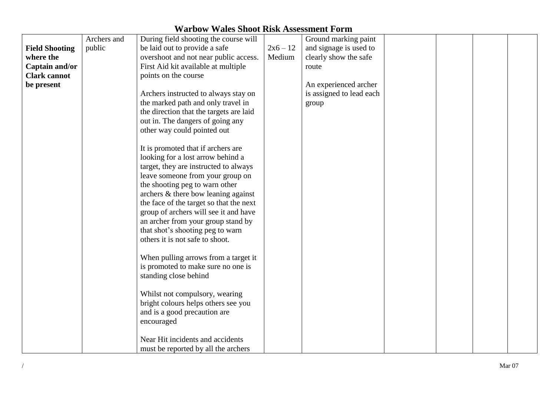|  |  |  |  |  | <b>Warbow Wales Shoot Risk Assessment Form</b> |  |
|--|--|--|--|--|------------------------------------------------|--|
|--|--|--|--|--|------------------------------------------------|--|

|                       | Archers and | During field shooting the course will   |            | Ground marking paint     |  |  |
|-----------------------|-------------|-----------------------------------------|------------|--------------------------|--|--|
| <b>Field Shooting</b> | public      | be laid out to provide a safe           | $2x6 - 12$ | and signage is used to   |  |  |
| where the             |             | overshoot and not near public access.   | Medium     | clearly show the safe    |  |  |
| Captain and/or        |             | First Aid kit available at multiple     |            | route                    |  |  |
| <b>Clark cannot</b>   |             | points on the course                    |            |                          |  |  |
| be present            |             |                                         |            | An experienced archer    |  |  |
|                       |             | Archers instructed to always stay on    |            | is assigned to lead each |  |  |
|                       |             | the marked path and only travel in      |            | group                    |  |  |
|                       |             | the direction that the targets are laid |            |                          |  |  |
|                       |             | out in. The dangers of going any        |            |                          |  |  |
|                       |             | other way could pointed out             |            |                          |  |  |
|                       |             |                                         |            |                          |  |  |
|                       |             | It is promoted that if archers are      |            |                          |  |  |
|                       |             | looking for a lost arrow behind a       |            |                          |  |  |
|                       |             | target, they are instructed to always   |            |                          |  |  |
|                       |             | leave someone from your group on        |            |                          |  |  |
|                       |             | the shooting peg to warn other          |            |                          |  |  |
|                       |             | archers $&$ there bow leaning against   |            |                          |  |  |
|                       |             | the face of the target so that the next |            |                          |  |  |
|                       |             | group of archers will see it and have   |            |                          |  |  |
|                       |             |                                         |            |                          |  |  |
|                       |             | an archer from your group stand by      |            |                          |  |  |
|                       |             | that shot's shooting peg to warn        |            |                          |  |  |
|                       |             | others it is not safe to shoot.         |            |                          |  |  |
|                       |             |                                         |            |                          |  |  |
|                       |             | When pulling arrows from a target it    |            |                          |  |  |
|                       |             | is promoted to make sure no one is      |            |                          |  |  |
|                       |             | standing close behind                   |            |                          |  |  |
|                       |             |                                         |            |                          |  |  |
|                       |             | Whilst not compulsory, wearing          |            |                          |  |  |
|                       |             | bright colours helps others see you     |            |                          |  |  |
|                       |             | and is a good precaution are            |            |                          |  |  |
|                       |             | encouraged                              |            |                          |  |  |
|                       |             |                                         |            |                          |  |  |
|                       |             | Near Hit incidents and accidents        |            |                          |  |  |
|                       |             | must be reported by all the archers     |            |                          |  |  |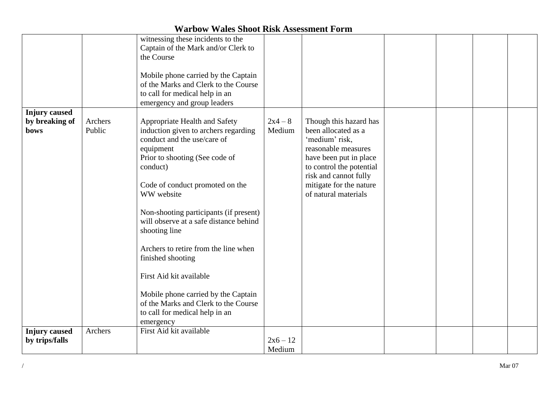|                                                       |                   | witnessing these incidents to the<br>Captain of the Mark and/or Clerk to<br>the Course<br>Mobile phone carried by the Captain<br>of the Marks and Clerk to the Course<br>to call for medical help in an<br>emergency and group leaders                                                                                                                                                                                                                                                                                                      |                      |                                                                                                                                                                                                                          |  |  |
|-------------------------------------------------------|-------------------|---------------------------------------------------------------------------------------------------------------------------------------------------------------------------------------------------------------------------------------------------------------------------------------------------------------------------------------------------------------------------------------------------------------------------------------------------------------------------------------------------------------------------------------------|----------------------|--------------------------------------------------------------------------------------------------------------------------------------------------------------------------------------------------------------------------|--|--|
| <b>Injury</b> caused<br>by breaking of<br><b>bows</b> | Archers<br>Public | Appropriate Health and Safety<br>induction given to archers regarding<br>conduct and the use/care of<br>equipment<br>Prior to shooting (See code of<br>conduct)<br>Code of conduct promoted on the<br>WW website<br>Non-shooting participants (if present)<br>will observe at a safe distance behind<br>shooting line<br>Archers to retire from the line when<br>finished shooting<br>First Aid kit available<br>Mobile phone carried by the Captain<br>of the Marks and Clerk to the Course<br>to call for medical help in an<br>emergency | $2x4 - 8$<br>Medium  | Though this hazard has<br>been allocated as a<br>'medium' risk,<br>reasonable measures<br>have been put in place<br>to control the potential<br>risk and cannot fully<br>mitigate for the nature<br>of natural materials |  |  |
| <b>Injury</b> caused<br>by trips/falls                | Archers           | First Aid kit available                                                                                                                                                                                                                                                                                                                                                                                                                                                                                                                     | $2x6 - 12$<br>Medium |                                                                                                                                                                                                                          |  |  |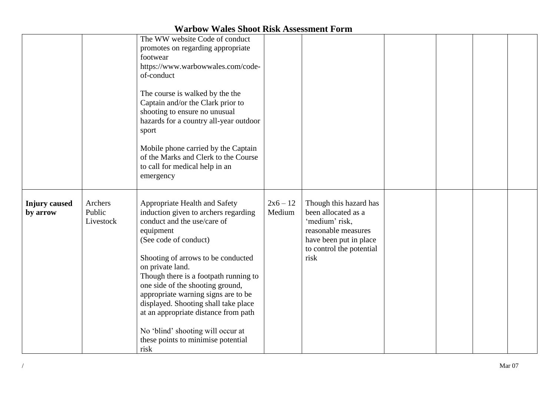|                                  |                                | The WW website Code of conduct<br>promotes on regarding appropriate<br>footwear<br>https://www.warbowwales.com/code-<br>of-conduct<br>The course is walked by the the<br>Captain and/or the Clark prior to<br>shooting to ensure no unusual<br>hazards for a country all-year outdoor<br>sport<br>Mobile phone carried by the Captain<br>of the Marks and Clerk to the Course<br>to call for medical help in an<br>emergency                                                                |                      |                                                                                                                                                      |  |  |
|----------------------------------|--------------------------------|---------------------------------------------------------------------------------------------------------------------------------------------------------------------------------------------------------------------------------------------------------------------------------------------------------------------------------------------------------------------------------------------------------------------------------------------------------------------------------------------|----------------------|------------------------------------------------------------------------------------------------------------------------------------------------------|--|--|
| <b>Injury</b> caused<br>by arrow | Archers<br>Public<br>Livestock | Appropriate Health and Safety<br>induction given to archers regarding<br>conduct and the use/care of<br>equipment<br>(See code of conduct)<br>Shooting of arrows to be conducted<br>on private land.<br>Though there is a footpath running to<br>one side of the shooting ground,<br>appropriate warning signs are to be<br>displayed. Shooting shall take place<br>at an appropriate distance from path<br>No 'blind' shooting will occur at<br>these points to minimise potential<br>risk | $2x6 - 12$<br>Medium | Though this hazard has<br>been allocated as a<br>'medium' risk,<br>reasonable measures<br>have been put in place<br>to control the potential<br>risk |  |  |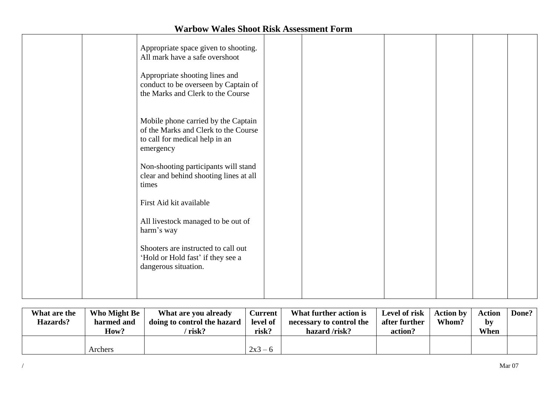| Appropriate space given to shooting.<br>All mark have a safe overshoot<br>Appropriate shooting lines and<br>conduct to be overseen by Captain of<br>the Marks and Clerk to the Course                        |  |  |  |
|--------------------------------------------------------------------------------------------------------------------------------------------------------------------------------------------------------------|--|--|--|
| Mobile phone carried by the Captain<br>of the Marks and Clerk to the Course<br>to call for medical help in an<br>emergency<br>Non-shooting participants will stand<br>clear and behind shooting lines at all |  |  |  |
| times<br>First Aid kit available<br>All livestock managed to be out of<br>harm's way<br>Shooters are instructed to call out                                                                                  |  |  |  |
| 'Hold or Hold fast' if they see a<br>dangerous situation.                                                                                                                                                    |  |  |  |

| What are the<br>Hazards? | Who Might Be<br>harmed and<br>How? | What are you already<br>doing to control the hazard<br>risk? | <b>Current</b><br>level of<br>risk? | What further action is<br>necessary to control the<br>hazard /risk? | Level of risk<br>after further<br>action? | <b>Action by</b><br>Whom? | <b>Action</b><br>by<br>When | Done? |
|--------------------------|------------------------------------|--------------------------------------------------------------|-------------------------------------|---------------------------------------------------------------------|-------------------------------------------|---------------------------|-----------------------------|-------|
|                          | Archers                            |                                                              | $2x3 - 6$                           |                                                                     |                                           |                           |                             |       |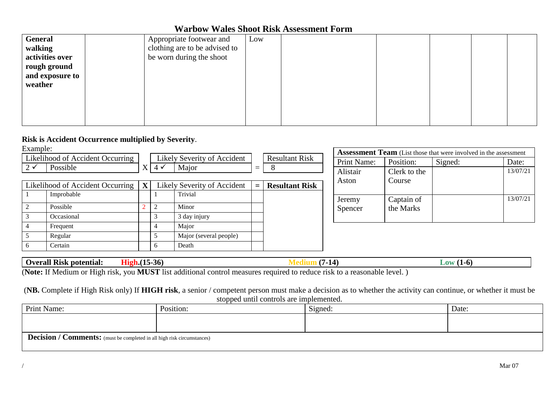| <b>General</b><br>walking  | Appropriate footwear and<br>clothing are to be advised to | Low |  |  |  |
|----------------------------|-----------------------------------------------------------|-----|--|--|--|
| activities over            | be worn during the shoot                                  |     |  |  |  |
| rough ground               |                                                           |     |  |  |  |
| and exposure to<br>weather |                                                           |     |  |  |  |
|                            |                                                           |     |  |  |  |
|                            |                                                           |     |  |  |  |
|                            |                                                           |     |  |  |  |
|                            |                                                           |     |  |  |  |

#### **Risk is Accident Occurrence multiplied by Severity**.

Example:

| вланные.    |                                              |                       |                             |     |                       |             |              | <b>Assessment Team</b> (List those that were involved in the assessment |          |
|-------------|----------------------------------------------|-----------------------|-----------------------------|-----|-----------------------|-------------|--------------|-------------------------------------------------------------------------|----------|
|             | Likelihood of Accident Occurring             |                       | Likely Severity of Accident |     | <b>Resultant Risk</b> | Print Name: | Position:    | Signed:                                                                 | Date:    |
| $2\sqrt{ }$ | Possible                                     | $X \mid 4 \checkmark$ | Major                       | $=$ | $\Omega$              | Alistair    | Clerk to the |                                                                         | 13/07/21 |
|             |                                              |                       |                             |     |                       |             |              |                                                                         |          |
|             | Likelihood of Accident Occurring $\mathbf X$ |                       | Likely Severity of Accident | $=$ | <b>Resultant Risk</b> | Aston       | Course       |                                                                         |          |
|             | Improbable                                   |                       | Trivial                     |     |                       | Jeremy      | Captain of   |                                                                         | 13/07/21 |
|             | Possible                                     |                       | Minor                       |     |                       | Spencer     | the Marks    |                                                                         |          |
|             | Occasional                                   |                       | 3 day injury                |     |                       |             |              |                                                                         |          |
|             | Frequent                                     |                       | Major                       |     |                       |             |              |                                                                         |          |
|             | Regular                                      |                       | Major (several people)      |     |                       |             |              |                                                                         |          |
|             | Certain                                      | <sub>0</sub>          | Death                       |     |                       |             |              |                                                                         |          |

| Overall<br>potential:<br><b>KISK</b> | ---<br>-561 |       | .<br>- |  |
|--------------------------------------|-------------|-------|--------|--|
| $ -$<br>$  -$<br>-------             | ________    | - - - |        |  |

(**Note:** If Medium or High risk, you **MUST** list additional control measures required to reduce risk to a reasonable level. )

(**NB.** Complete if High Risk only) If **HIGH risk**, a senior / competent person must make a decision as to whether the activity can continue, or whether it must be stopped until controls are implemented.

| Print Name:                                                             | Position: | Signed: | Date: |
|-------------------------------------------------------------------------|-----------|---------|-------|
|                                                                         |           |         |       |
|                                                                         |           |         |       |
| Decision / Comments: (must be completed in all high risk circumstances) |           |         |       |
|                                                                         |           |         |       |